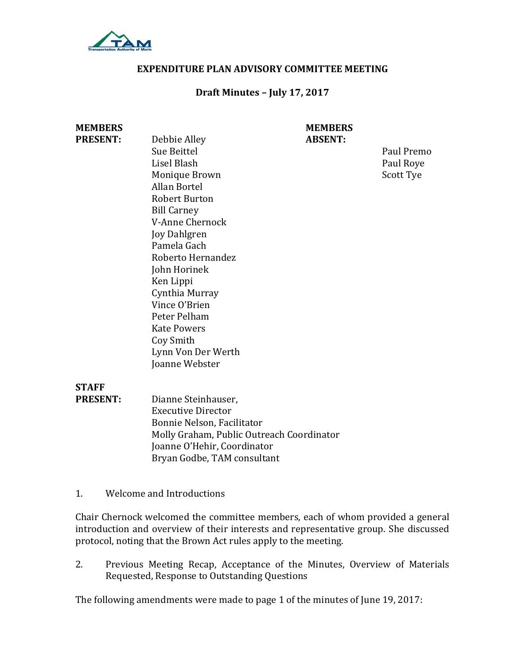

#### **EXPENDITURE PLAN ADVISORY COMMITTEE MEETING**

#### **Draft Minutes – July 17, 2017**

| <b>MEMBERS</b>  |                                           | <b>MEMBERS</b> |            |
|-----------------|-------------------------------------------|----------------|------------|
| <b>PRESENT:</b> | Debbie Alley                              | <b>ABSENT:</b> |            |
|                 | Sue Beittel                               |                | Paul Premo |
|                 | Lisel Blash                               |                | Paul Roye  |
|                 | Monique Brown                             |                | Scott Tye  |
|                 | <b>Allan Bortel</b>                       |                |            |
|                 | <b>Robert Burton</b>                      |                |            |
|                 | <b>Bill Carney</b>                        |                |            |
|                 | V-Anne Chernock                           |                |            |
|                 | <b>Joy Dahlgren</b>                       |                |            |
|                 | Pamela Gach                               |                |            |
|                 | Roberto Hernandez                         |                |            |
|                 | John Horinek                              |                |            |
|                 | Ken Lippi                                 |                |            |
|                 | Cynthia Murray                            |                |            |
|                 | Vince O'Brien                             |                |            |
|                 | Peter Pelham                              |                |            |
|                 | <b>Kate Powers</b>                        |                |            |
|                 | Coy Smith                                 |                |            |
|                 | Lynn Von Der Werth                        |                |            |
|                 | Joanne Webster                            |                |            |
| <b>STAFF</b>    |                                           |                |            |
| <b>PRESENT:</b> | Dianne Steinhauser,                       |                |            |
|                 | <b>Executive Director</b>                 |                |            |
|                 | Bonnie Nelson, Facilitator                |                |            |
|                 | Molly Graham, Public Outreach Coordinator |                |            |
|                 | Joanne O'Hehir, Coordinator               |                |            |
|                 | Bryan Godbe, TAM consultant               |                |            |

1. Welcome and Introductions

Chair Chernock welcomed the committee members, each of whom provided a general introduction and overview of their interests and representative group. She discussed protocol, noting that the Brown Act rules apply to the meeting.

2. Previous Meeting Recap, Acceptance of the Minutes, Overview of Materials Requested, Response to Outstanding Questions

The following amendments were made to page 1 of the minutes of June 19, 2017: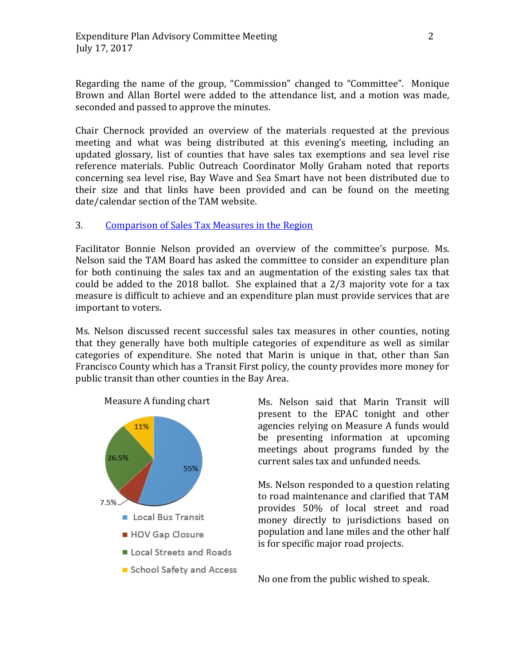Regarding the name of the group, "Commission" changed to "Committee". Monique Brown and Allan Bortel were added to the attendance list, and a motion was made, seconded and passed to approve the minutes.

Chair Chernock provided an overview of the materials requested at the previous meeting and what was being distributed at this evening's meeting, including an updated glossary, list of counties that have sales tax exemptions and sea level rise reference materials. Public Outreach Coordinator Molly Graham noted that reports concerning sea level rise, Bay Wave and Sea Smart have not been distributed due to their size and that links have been provided and can be found on the meeting date/calendar section of the TAM website.

## 3. [Comparison of Sales Tax Measures in the Region](https://www.tam.ca.gov/wp-content/uploads/2017/07/Sales-Tax-Measures-Comparison-Table-7.14.17.pdf)

Facilitator Bonnie Nelson provided an overview of the committee's purpose. Ms. Nelson said the TAM Board has asked the committee to consider an expenditure plan for both continuing the sales tax and an augmentation of the existing sales tax that could be added to the 2018 ballot. She explained that a 2/3 majority vote for a tax measure is difficult to achieve and an expenditure plan must provide services that are important to voters.

Ms. Nelson discussed recent successful sales tax measures in other counties, noting that they generally have both multiple categories of expenditure as well as similar categories of expenditure. She noted that Marin is unique in that, other than San Francisco County which has a Transit First policy, the county provides more money for public transit than other counties in the Bay Area.



Ms. Nelson said that Marin Transit will present to the EPAC tonight and other agencies relying on Measure A funds would be presenting information at upcoming meetings about programs funded by the current sales tax and unfunded needs.

Ms. Nelson responded to a question relating to road maintenance and clarified that TAM provides 50% of local street and road money directly to jurisdictions based on population and lane miles and the other half is for specific major road projects.

No one from the public wished to speak.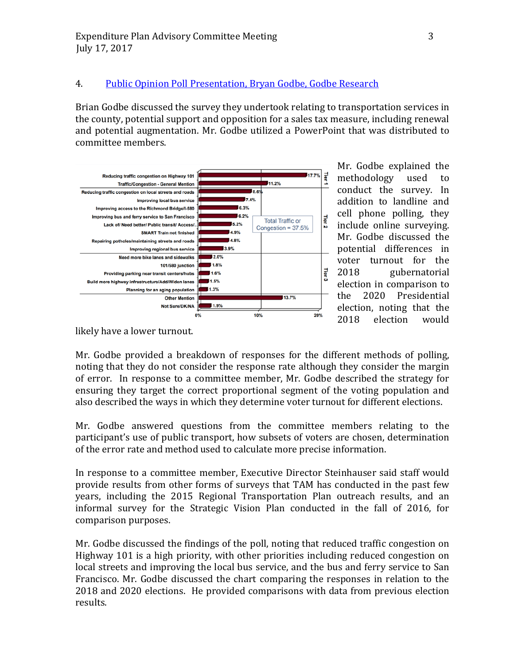## 4. [Public Opinion Poll Presentation, Bryan Godbe, Godbe Research](https://www.tam.ca.gov/wp-content/uploads/2017/07/TAM-Sales-Tax-Measure-Survey-Presentation.pdf)

Brian Godbe discussed the survey they undertook relating to transportation services in the county, potential support and opposition for a sales tax measure, including renewal and potential augmentation. Mr. Godbe utilized a PowerPoint that was distributed to committee members.



Mr. Godbe explained the<br>methodology used to methodology conduct the survey. In addition to landline and cell phone polling, they include online surveying. Mr. Godbe discussed the potential differences in voter turnout for the<br>2018 gubernatorial gubernatorial election in comparison to<br>the 2020 Presidential 2020 Presidential election, noting that the<br>2018 election would election

likely have a lower turnout.

Mr. Godbe provided a breakdown of responses for the different methods of polling, noting that they do not consider the response rate although they consider the margin of error. In response to a committee member, Mr. Godbe described the strategy for ensuring they target the correct proportional segment of the voting population and also described the ways in which they determine voter turnout for different elections.

Mr. Godbe answered questions from the committee members relating to the participant's use of public transport, how subsets of voters are chosen, determination of the error rate and method used to calculate more precise information.

In response to a committee member, Executive Director Steinhauser said staff would provide results from other forms of surveys that TAM has conducted in the past few years, including the 2015 Regional Transportation Plan outreach results, and an informal survey for the Strategic Vision Plan conducted in the fall of 2016, for comparison purposes.

Mr. Godbe discussed the findings of the poll, noting that reduced traffic congestion on Highway 101 is a high priority, with other priorities including reduced congestion on local streets and improving the local bus service, and the bus and ferry service to San Francisco. Mr. Godbe discussed the chart comparing the responses in relation to the 2018 and 2020 elections. He provided comparisons with data from previous election results.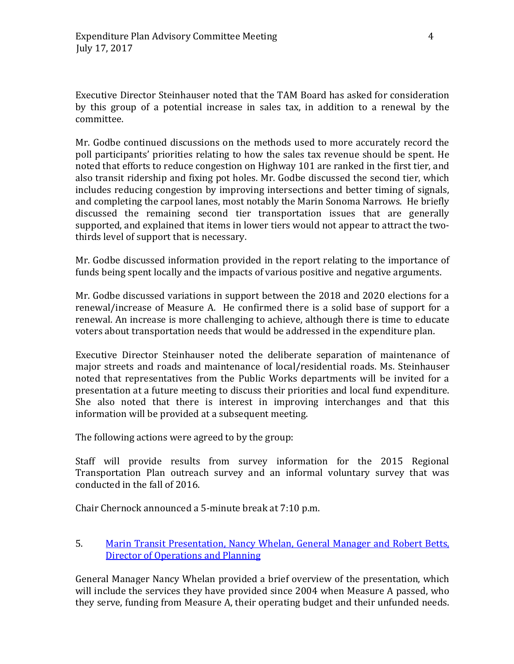Executive Director Steinhauser noted that the TAM Board has asked for consideration by this group of a potential increase in sales tax, in addition to a renewal by the committee.

Mr. Godbe continued discussions on the methods used to more accurately record the poll participants' priorities relating to how the sales tax revenue should be spent. He noted that efforts to reduce congestion on Highway 101 are ranked in the first tier, and also transit ridership and fixing pot holes. Mr. Godbe discussed the second tier, which includes reducing congestion by improving intersections and better timing of signals, and completing the carpool lanes, most notably the Marin Sonoma Narrows. He briefly discussed the remaining second tier transportation issues that are generally supported, and explained that items in lower tiers would not appear to attract the twothirds level of support that is necessary.

Mr. Godbe discussed information provided in the report relating to the importance of funds being spent locally and the impacts of various positive and negative arguments.

Mr. Godbe discussed variations in support between the 2018 and 2020 elections for a renewal/increase of Measure A. He confirmed there is a solid base of support for a renewal. An increase is more challenging to achieve, although there is time to educate voters about transportation needs that would be addressed in the expenditure plan.

Executive Director Steinhauser noted the deliberate separation of maintenance of major streets and roads and maintenance of local/residential roads. Ms. Steinhauser noted that representatives from the Public Works departments will be invited for a presentation at a future meeting to discuss their priorities and local fund expenditure. She also noted that there is interest in improving interchanges and that this information will be provided at a subsequent meeting.

The following actions were agreed to by the group:

Staff will provide results from survey information for the 2015 Regional Transportation Plan outreach survey and an informal voluntary survey that was conducted in the fall of 2016.

Chair Chernock announced a 5-minute break at 7:10 p.m.

# 5. [Marin Transit Presentation, Nancy Whelan, General Manager and Robert Betts,](https://www.tam.ca.gov/wp-content/uploads/2017/07/MarinTransit-EPAC_701717-002.pdf)  [Director of Operations and Planning](https://www.tam.ca.gov/wp-content/uploads/2017/07/MarinTransit-EPAC_701717-002.pdf)

General Manager Nancy Whelan provided a brief overview of the presentation, which will include the services they have provided since 2004 when Measure A passed, who they serve, funding from Measure A, their operating budget and their unfunded needs.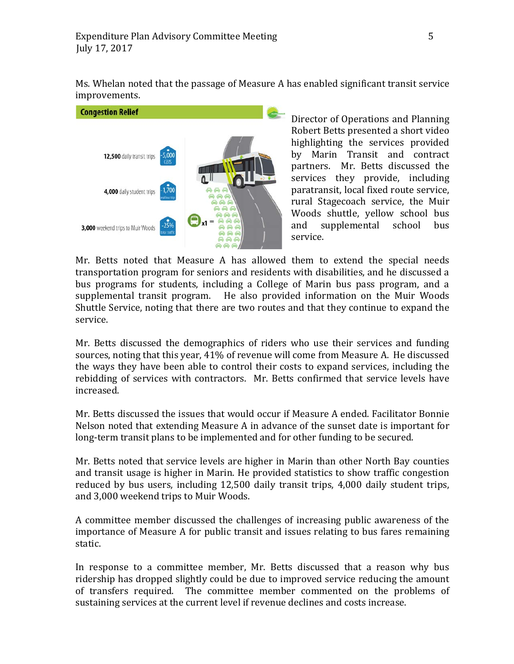Ms. Whelan noted that the passage of Measure A has enabled significant transit service improvements.



Director of Operations and Planning Robert Betts presented a short video highlighting the services provided by Marin Transit and contract partners. Mr. Betts discussed the services they provide, including paratransit, local fixed route service, rural Stagecoach service, the Muir Woods shuttle, yellow school bus<br>and supplemental school bus supplemental school bus service.

Mr. Betts noted that Measure A has allowed them to extend the special needs transportation program for seniors and residents with disabilities, and he discussed a bus programs for students, including a College of Marin bus pass program, and a supplemental transit program. He also provided information on the Muir Woods Shuttle Service, noting that there are two routes and that they continue to expand the service.

Mr. Betts discussed the demographics of riders who use their services and funding sources, noting that this year, 41% of revenue will come from Measure A. He discussed the ways they have been able to control their costs to expand services, including the rebidding of services with contractors. Mr. Betts confirmed that service levels have increased.

Mr. Betts discussed the issues that would occur if Measure A ended. Facilitator Bonnie Nelson noted that extending Measure A in advance of the sunset date is important for long-term transit plans to be implemented and for other funding to be secured.

Mr. Betts noted that service levels are higher in Marin than other North Bay counties and transit usage is higher in Marin. He provided statistics to show traffic congestion reduced by bus users, including 12,500 daily transit trips, 4,000 daily student trips, and 3,000 weekend trips to Muir Woods.

A committee member discussed the challenges of increasing public awareness of the importance of Measure A for public transit and issues relating to bus fares remaining static.

In response to a committee member, Mr. Betts discussed that a reason why bus ridership has dropped slightly could be due to improved service reducing the amount of transfers required. The committee member commented on the problems of sustaining services at the current level if revenue declines and costs increase.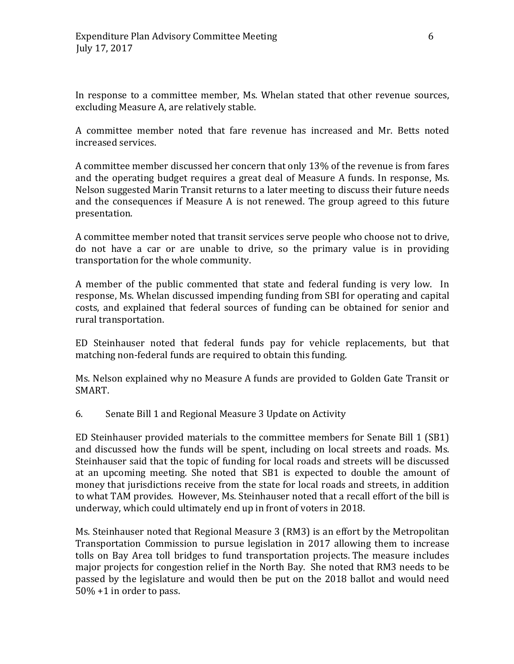In response to a committee member, Ms. Whelan stated that other revenue sources, excluding Measure A, are relatively stable.

A committee member noted that fare revenue has increased and Mr. Betts noted increased services.

A committee member discussed her concern that only 13% of the revenue is from fares and the operating budget requires a great deal of Measure A funds. In response, Ms. Nelson suggested Marin Transit returns to a later meeting to discuss their future needs and the consequences if Measure A is not renewed. The group agreed to this future presentation.

A committee member noted that transit services serve people who choose not to drive, do not have a car or are unable to drive, so the primary value is in providing transportation for the whole community.

A member of the public commented that state and federal funding is very low. In response, Ms. Whelan discussed impending funding from SBI for operating and capital costs, and explained that federal sources of funding can be obtained for senior and rural transportation.

ED Steinhauser noted that federal funds pay for vehicle replacements, but that matching non-federal funds are required to obtain this funding.

Ms. Nelson explained why no Measure A funds are provided to Golden Gate Transit or SMART.

6. Senate Bill 1 and Regional Measure 3 Update on Activity

ED Steinhauser provided materials to the committee members for Senate Bill 1 (SB1) and discussed how the funds will be spent, including on local streets and roads. Ms. Steinhauser said that the topic of funding for local roads and streets will be discussed at an upcoming meeting. She noted that SB1 is expected to double the amount of money that jurisdictions receive from the state for local roads and streets, in addition to what TAM provides. However, Ms. Steinhauser noted that a recall effort of the bill is underway, which could ultimately end up in front of voters in 2018.

Ms. Steinhauser noted that Regional Measure 3 (RM3) is an effort by the Metropolitan Transportation Commission to pursue legislation in 2017 allowing them to increase tolls on Bay Area toll bridges to fund transportation projects. The measure includes major projects for congestion relief in the North Bay. She noted that RM3 needs to be passed by the legislature and would then be put on the 2018 ballot and would need 50% +1 in order to pass.